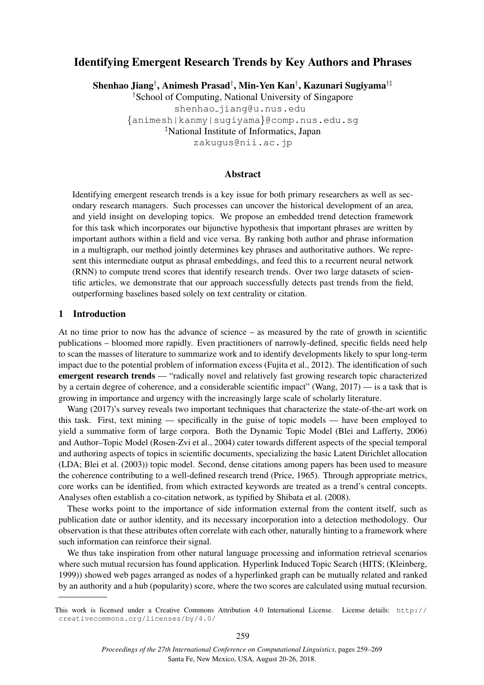# Identifying Emergent Research Trends by Key Authors and Phrases

Shenhao Jiang*†* , Animesh Prasad*†* , Min-Yen Kan*†* , Kazunari Sugiyama*†‡*

*†*School of Computing, National University of Singapore shenhao jiang@u.nus.edu *{*animesh|kanmy|sugiyama*}*@comp.nus.edu.sg *‡*National Institute of Informatics, Japan zakugus@nii.ac.jp

# Abstract

Identifying emergent research trends is a key issue for both primary researchers as well as secondary research managers. Such processes can uncover the historical development of an area, and yield insight on developing topics. We propose an embedded trend detection framework for this task which incorporates our bijunctive hypothesis that important phrases are written by important authors within a field and vice versa. By ranking both author and phrase information in a multigraph, our method jointly determines key phrases and authoritative authors. We represent this intermediate output as phrasal embeddings, and feed this to a recurrent neural network (RNN) to compute trend scores that identify research trends. Over two large datasets of scientific articles, we demonstrate that our approach successfully detects past trends from the field, outperforming baselines based solely on text centrality or citation.

# 1 Introduction

At no time prior to now has the advance of science – as measured by the rate of growth in scientific publications – bloomed more rapidly. Even practitioners of narrowly-defined, specific fields need help to scan the masses of literature to summarize work and to identify developments likely to spur long-term impact due to the potential problem of information excess (Fujita et al., 2012). The identification of such emergent research trends — "radically novel and relatively fast growing research topic characterized by a certain degree of coherence, and a considerable scientific impact" (Wang, 2017) — is a task that is growing in importance and urgency with the increasingly large scale of scholarly literature.

Wang (2017)'s survey reveals two important techniques that characterize the state-of-the-art work on this task. First, text mining — specifically in the guise of topic models — have been employed to yield a summative form of large corpora. Both the Dynamic Topic Model (Blei and Lafferty, 2006) and Author–Topic Model (Rosen-Zvi et al., 2004) cater towards different aspects of the special temporal and authoring aspects of topics in scientific documents, specializing the basic Latent Dirichlet allocation (LDA; Blei et al. (2003)) topic model. Second, dense citations among papers has been used to measure the coherence contributing to a well-defined research trend (Price, 1965). Through appropriate metrics, core works can be identified, from which extracted keywords are treated as a trend's central concepts. Analyses often establish a co-citation network, as typified by Shibata et al. (2008).

These works point to the importance of side information external from the content itself, such as publication date or author identity, and its necessary incorporation into a detection methodology. Our observation is that these attributes often correlate with each other, naturally hinting to a framework where such information can reinforce their signal.

We thus take inspiration from other natural language processing and information retrieval scenarios where such mutual recursion has found application. Hyperlink Induced Topic Search (HITS; (Kleinberg, 1999)) showed web pages arranged as nodes of a hyperlinked graph can be mutually related and ranked by an authority and a hub (popularity) score, where the two scores are calculated using mutual recursion.

This work is licensed under a Creative Commons Attribution 4.0 International License. License details: http:// creativecommons.org/licenses/by/4.0/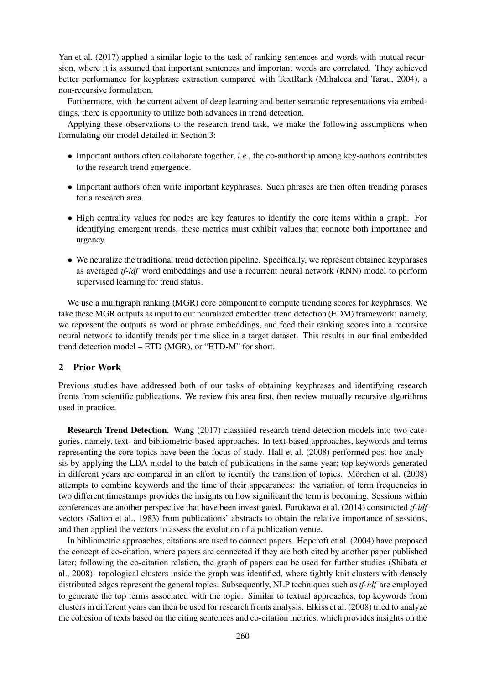Yan et al. (2017) applied a similar logic to the task of ranking sentences and words with mutual recursion, where it is assumed that important sentences and important words are correlated. They achieved better performance for keyphrase extraction compared with TextRank (Mihalcea and Tarau, 2004), a non-recursive formulation.

Furthermore, with the current advent of deep learning and better semantic representations via embeddings, there is opportunity to utilize both advances in trend detection.

Applying these observations to the research trend task, we make the following assumptions when formulating our model detailed in Section 3:

- *•* Important authors often collaborate together, *i.e.*, the co-authorship among key-authors contributes to the research trend emergence.
- Important authors often write important keyphrases. Such phrases are then often trending phrases for a research area.
- High centrality values for nodes are key features to identify the core items within a graph. For identifying emergent trends, these metrics must exhibit values that connote both importance and urgency.
- We neuralize the traditional trend detection pipeline. Specifically, we represent obtained keyphrases as averaged *tf-idf* word embeddings and use a recurrent neural network (RNN) model to perform supervised learning for trend status.

We use a multigraph ranking (MGR) core component to compute trending scores for keyphrases. We take these MGR outputs as input to our neuralized embedded trend detection (EDM) framework: namely, we represent the outputs as word or phrase embeddings, and feed their ranking scores into a recursive neural network to identify trends per time slice in a target dataset. This results in our final embedded trend detection model – ETD (MGR), or "ETD-M" for short.

## 2 Prior Work

Previous studies have addressed both of our tasks of obtaining keyphrases and identifying research fronts from scientific publications. We review this area first, then review mutually recursive algorithms used in practice.

Research Trend Detection. Wang (2017) classified research trend detection models into two categories, namely, text- and bibliometric-based approaches. In text-based approaches, keywords and terms representing the core topics have been the focus of study. Hall et al. (2008) performed post-hoc analysis by applying the LDA model to the batch of publications in the same year; top keywords generated in different years are compared in an effort to identify the transition of topics. Mörchen et al. (2008) attempts to combine keywords and the time of their appearances: the variation of term frequencies in two different timestamps provides the insights on how significant the term is becoming. Sessions within conferences are another perspective that have been investigated. Furukawa et al. (2014) constructed *tf-idf* vectors (Salton et al., 1983) from publications' abstracts to obtain the relative importance of sessions, and then applied the vectors to assess the evolution of a publication venue.

In bibliometric approaches, citations are used to connect papers. Hopcroft et al. (2004) have proposed the concept of co-citation, where papers are connected if they are both cited by another paper published later; following the co-citation relation, the graph of papers can be used for further studies (Shibata et al., 2008): topological clusters inside the graph was identified, where tightly knit clusters with densely distributed edges represent the general topics. Subsequently, NLP techniques such as *tf-idf* are employed to generate the top terms associated with the topic. Similar to textual approaches, top keywords from clusters in different years can then be used for research fronts analysis. Elkiss et al. (2008) tried to analyze the cohesion of texts based on the citing sentences and co-citation metrics, which provides insights on the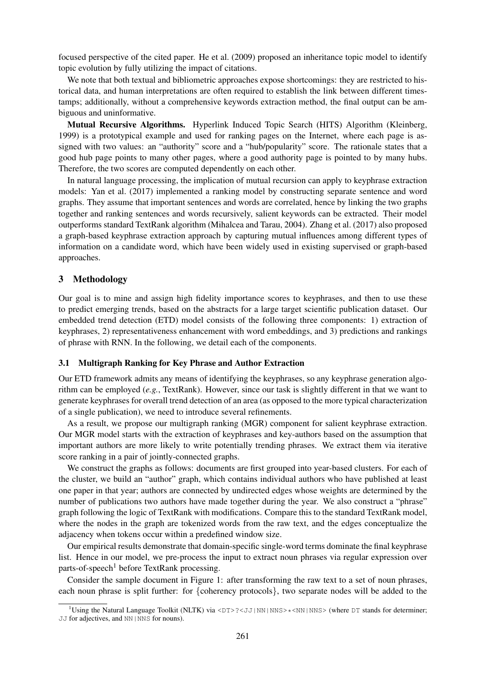focused perspective of the cited paper. He et al. (2009) proposed an inheritance topic model to identify topic evolution by fully utilizing the impact of citations.

We note that both textual and bibliometric approaches expose shortcomings: they are restricted to historical data, and human interpretations are often required to establish the link between different timestamps; additionally, without a comprehensive keywords extraction method, the final output can be ambiguous and uninformative.

Mutual Recursive Algorithms. Hyperlink Induced Topic Search (HITS) Algorithm (Kleinberg, 1999) is a prototypical example and used for ranking pages on the Internet, where each page is assigned with two values: an "authority" score and a "hub/popularity" score. The rationale states that a good hub page points to many other pages, where a good authority page is pointed to by many hubs. Therefore, the two scores are computed dependently on each other.

In natural language processing, the implication of mutual recursion can apply to keyphrase extraction models: Yan et al. (2017) implemented a ranking model by constructing separate sentence and word graphs. They assume that important sentences and words are correlated, hence by linking the two graphs together and ranking sentences and words recursively, salient keywords can be extracted. Their model outperforms standard TextRank algorithm (Mihalcea and Tarau, 2004). Zhang et al. (2017) also proposed a graph-based keyphrase extraction approach by capturing mutual influences among different types of information on a candidate word, which have been widely used in existing supervised or graph-based approaches.

# 3 Methodology

Our goal is to mine and assign high fidelity importance scores to keyphrases, and then to use these to predict emerging trends, based on the abstracts for a large target scientific publication dataset. Our embedded trend detection (ETD) model consists of the following three components: 1) extraction of keyphrases, 2) representativeness enhancement with word embeddings, and 3) predictions and rankings of phrase with RNN. In the following, we detail each of the components.

#### 3.1 Multigraph Ranking for Key Phrase and Author Extraction

Our ETD framework admits any means of identifying the keyphrases, so any keyphrase generation algorithm can be employed (*e.g.*, TextRank). However, since our task is slightly different in that we want to generate keyphrases for overall trend detection of an area (as opposed to the more typical characterization of a single publication), we need to introduce several refinements.

As a result, we propose our multigraph ranking (MGR) component for salient keyphrase extraction. Our MGR model starts with the extraction of keyphrases and key-authors based on the assumption that important authors are more likely to write potentially trending phrases. We extract them via iterative score ranking in a pair of jointly-connected graphs.

We construct the graphs as follows: documents are first grouped into year-based clusters. For each of the cluster, we build an "author" graph, which contains individual authors who have published at least one paper in that year; authors are connected by undirected edges whose weights are determined by the number of publications two authors have made together during the year. We also construct a "phrase" graph following the logic of TextRank with modifications. Compare this to the standard TextRank model, where the nodes in the graph are tokenized words from the raw text, and the edges conceptualize the adjacency when tokens occur within a predefined window size.

Our empirical results demonstrate that domain-specific single-word terms dominate the final keyphrase list. Hence in our model, we pre-process the input to extract noun phrases via regular expression over parts-of-speech<sup>1</sup> before TextRank processing.

Consider the sample document in Figure 1: after transforming the raw text to a set of noun phrases, each noun phrase is split further: for *{*coherency protocols*}*, two separate nodes will be added to the

<sup>&</sup>lt;sup>1</sup>Using the Natural Language Toolkit (NLTK) via <DT>?<JJ|NN|NNS>\*<NN|NNS> (where DT stands for determiner; JJ for adjectives, and NN | NNS for nouns).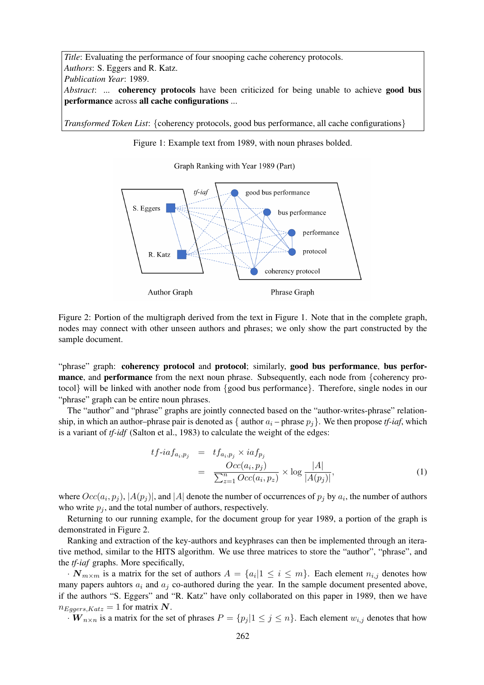*Title*: Evaluating the performance of four snooping cache coherency protocols. *Authors*: S. Eggers and R. Katz. *Publication Year*: 1989. *Abstract*: ... **coherency protocols** have been criticized for being unable to achieve **good bus** performance across all cache configurations ...

*Transformed Token List*: *{*coherency protocols, good bus performance, all cache configurations*}*

Figure 1: Example text from 1989, with noun phrases bolded.

Graph Ranking with Year 1989 (Part)



Figure 2: Portion of the multigraph derived from the text in Figure 1. Note that in the complete graph, nodes may connect with other unseen authors and phrases; we only show the part constructed by the sample document.

"phrase" graph: coherency protocol and protocol; similarly, good bus performance, bus performance, and performance from the next noun phrase. Subsequently, each node from *{*coherency protocol*}* will be linked with another node from *{*good bus performance*}*. Therefore, single nodes in our "phrase" graph can be entire noun phrases.

The "author" and "phrase" graphs are jointly connected based on the "author-writes-phrase" relationship, in which an author–phrase pair is denoted as  $\{$  author  $a_i$  – phrase  $p_j\}$ . We then propose *tf-iaf*, which is a variant of *tf-idf* (Salton et al., 1983) to calculate the weight of the edges:

$$
tf\text{-}iaf_{a_i,p_j} = tf_{a_i,p_j} \times iaf_{p_j}
$$
  
= 
$$
\frac{Occ(a_i, p_j)}{\sum_{z=1}^n Occ(a_i, p_z)} \times \log \frac{|A|}{|A(p_j)|},
$$
 (1)

where  $Occ(a_i, p_j)$ ,  $|A(p_j)|$ , and  $|A|$  denote the number of occurrences of  $p_j$  by  $a_i$ , the number of authors who write  $p_j$ , and the total number of authors, respectively.

Returning to our running example, for the document group for year 1989, a portion of the graph is demonstrated in Figure 2.

Ranking and extraction of the key-authors and keyphrases can then be implemented through an iterative method, similar to the HITS algorithm. We use three matrices to store the "author", "phrase", and the *tf-iaf* graphs. More specifically,

*·*  $N_{m \times m}$  is a matrix for the set of authors  $A = \{a_i | 1 \le i \le m\}$ . Each element  $n_{i,j}$  denotes how many papers auhtors  $a_i$  and  $a_j$  co-authored during the year. In the sample document presented above, if the authors "S. Eggers" and "R. Katz" have only collaborated on this paper in 1989, then we have  $n_{Eggers,Katz} = 1$  for matrix N.

 $\cdot$  *W*<sub>n×n</sub> is a matrix for the set of phrases  $P = \{p_i | 1 \leq j \leq n\}$ . Each element  $w_{i,j}$  denotes that how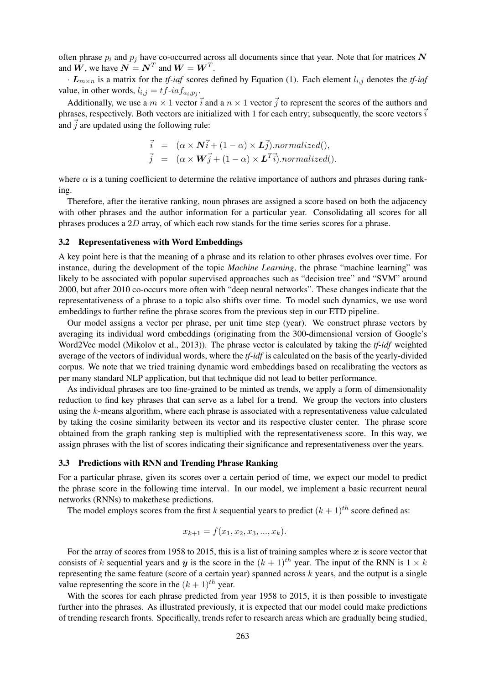often phrase *p<sup>i</sup>* and *p<sup>j</sup>* have co-occurred across all documents since that year. Note that for matrices *N* and  $W$ , we have  $N = N^T$  and  $W = W^T$ .

*· Lm×<sup>n</sup>* is a matrix for the *tf-iaf* scores defined by Equation (1). Each element *li,j* denotes the *tf-iaf* value, in other words,  $l_{i,j} = tf - ia f_{a_i, p_j}$ .

Additionally, we use a  $m \times 1$  vector  $\vec{i}$  and a  $n \times 1$  vector  $\vec{j}$  to represent the scores of the authors and phrases, respectively. Both vectors are initialized with 1 for each entry; subsequently, the score vectors  $\vec{i}$ and  $\vec{j}$  are updated using the following rule:

$$
\vec{i} = (\alpha \times \mathbf{N}\vec{i} + (1 - \alpha) \times \mathbf{L}\vec{j}).normalized(),
$$
  

$$
\vec{j} = (\alpha \times \mathbf{W}\vec{j} + (1 - \alpha) \times \mathbf{L}^T\vec{i}).normalized().
$$

where  $\alpha$  is a tuning coefficient to determine the relative importance of authors and phrases during ranking.

Therefore, after the iterative ranking, noun phrases are assigned a score based on both the adjacency with other phrases and the author information for a particular year. Consolidating all scores for all phrases produces a 2*D* array, of which each row stands for the time series scores for a phrase.

#### 3.2 Representativeness with Word Embeddings

A key point here is that the meaning of a phrase and its relation to other phrases evolves over time. For instance, during the development of the topic *Machine Learning*, the phrase "machine learning" was likely to be associated with popular supervised approaches such as "decision tree" and "SVM" around 2000, but after 2010 co-occurs more often with "deep neural networks". These changes indicate that the representativeness of a phrase to a topic also shifts over time. To model such dynamics, we use word embeddings to further refine the phrase scores from the previous step in our ETD pipeline.

Our model assigns a vector per phrase, per unit time step (year). We construct phrase vectors by averaging its individual word embeddings (originating from the 300-dimensional version of Google's Word2Vec model (Mikolov et al., 2013)). The phrase vector is calculated by taking the *tf-idf* weighted average of the vectors of individual words, where the *tf-idf* is calculated on the basis of the yearly-divided corpus. We note that we tried training dynamic word embeddings based on recalibrating the vectors as per many standard NLP application, but that technique did not lead to better performance.

As individual phrases are too fine-grained to be minted as trends, we apply a form of dimensionality reduction to find key phrases that can serve as a label for a trend. We group the vectors into clusters using the *k*-means algorithm, where each phrase is associated with a representativeness value calculated by taking the cosine similarity between its vector and its respective cluster center. The phrase score obtained from the graph ranking step is multiplied with the representativeness score. In this way, we assign phrases with the list of scores indicating their significance and representativeness over the years.

#### 3.3 Predictions with RNN and Trending Phrase Ranking

For a particular phrase, given its scores over a certain period of time, we expect our model to predict the phrase score in the following time interval. In our model, we implement a basic recurrent neural networks (RNNs) to makethese predictions.

The model employs scores from the first *k* sequential years to predict  $(k + 1)$ <sup>th</sup> score defined as:

$$
x_{k+1} = f(x_1, x_2, x_3, ..., x_k).
$$

For the array of scores from 1958 to 2015, this is a list of training samples where *x* is score vector that consists of *k* sequential years and *y* is the score in the  $(k + 1)$ <sup>th</sup> year. The input of the RNN is  $1 \times k$ representing the same feature (score of a certain year) spanned across *k* years, and the output is a single value representing the score in the  $(k + 1)$ <sup>th</sup> year.

With the scores for each phrase predicted from year 1958 to 2015, it is then possible to investigate further into the phrases. As illustrated previously, it is expected that our model could make predictions of trending research fronts. Specifically, trends refer to research areas which are gradually being studied,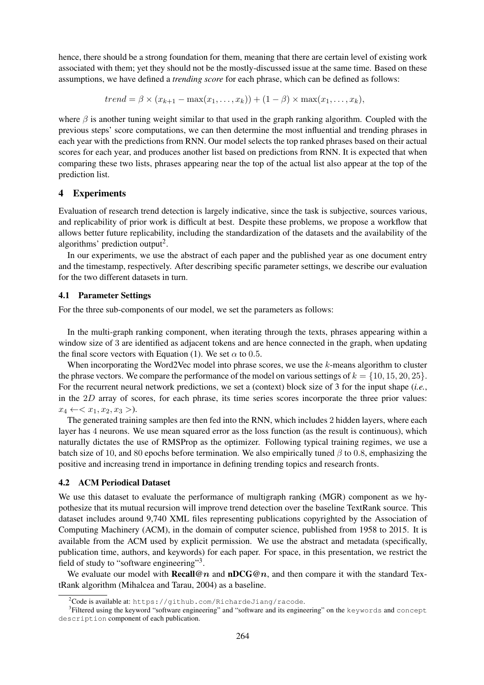hence, there should be a strong foundation for them, meaning that there are certain level of existing work associated with them; yet they should not be the mostly-discussed issue at the same time. Based on these assumptions, we have defined a *trending score* for each phrase, which can be defined as follows:

 $trend = \beta \times (x_{k+1} - \max(x_1, \ldots, x_k)) + (1 - \beta) \times \max(x_1, \ldots, x_k),$ 

where  $\beta$  is another tuning weight similar to that used in the graph ranking algorithm. Coupled with the previous steps' score computations, we can then determine the most influential and trending phrases in each year with the predictions from RNN. Our model selects the top ranked phrases based on their actual scores for each year, and produces another list based on predictions from RNN. It is expected that when comparing these two lists, phrases appearing near the top of the actual list also appear at the top of the prediction list.

# 4 Experiments

Evaluation of research trend detection is largely indicative, since the task is subjective, sources various, and replicability of prior work is difficult at best. Despite these problems, we propose a workflow that allows better future replicability, including the standardization of the datasets and the availability of the algorithms' prediction output<sup>2</sup>.

In our experiments, we use the abstract of each paper and the published year as one document entry and the timestamp, respectively. After describing specific parameter settings, we describe our evaluation for the two different datasets in turn.

## 4.1 Parameter Settings

For the three sub-components of our model, we set the parameters as follows:

In the multi-graph ranking component, when iterating through the texts, phrases appearing within a window size of 3 are identified as adjacent tokens and are hence connected in the graph, when updating the final score vectors with Equation (1). We set  $\alpha$  to 0.5.

When incorporating the Word2Vec model into phrase scores, we use the *k*-means algorithm to cluster the phrase vectors. We compare the performance of the model on various settings of  $k = \{10, 15, 20, 25\}$ . For the recurrent neural network predictions, we set a (context) block size of 3 for the input shape (*i.e.*, in the 2*D* array of scores, for each phrase, its time series scores incorporate the three prior values:  $x_4 \leftarrow \langle x_1, x_2, x_3 \rangle.$ 

The generated training samples are then fed into the RNN, which includes 2 hidden layers, where each layer has 4 neurons. We use mean squared error as the loss function (as the result is continuous), which naturally dictates the use of RMSProp as the optimizer. Following typical training regimes, we use a batch size of 10, and 80 epochs before termination. We also empirically tuned *β* to 0*.*8, emphasizing the positive and increasing trend in importance in defining trending topics and research fronts.

## 4.2 ACM Periodical Dataset

We use this dataset to evaluate the performance of multigraph ranking (MGR) component as we hypothesize that its mutual recursion will improve trend detection over the baseline TextRank source. This dataset includes around 9,740 XML files representing publications copyrighted by the Association of Computing Machinery (ACM), in the domain of computer science, published from 1958 to 2015. It is available from the ACM used by explicit permission. We use the abstract and metadata (specifically, publication time, authors, and keywords) for each paper. For space, in this presentation, we restrict the field of study to "software engineering"<sup>3</sup>.

We evaluate our model with **Recall**@ $n$  and **nDCG**@ $n$ , and then compare it with the standard TextRank algorithm (Mihalcea and Tarau, 2004) as a baseline.

 $2^2$ Code is available at: https://github.com/RichardeJiang/racode.

<sup>3</sup> Filtered using the keyword "software engineering" and "software and its engineering" on the keywords and concept description component of each publication.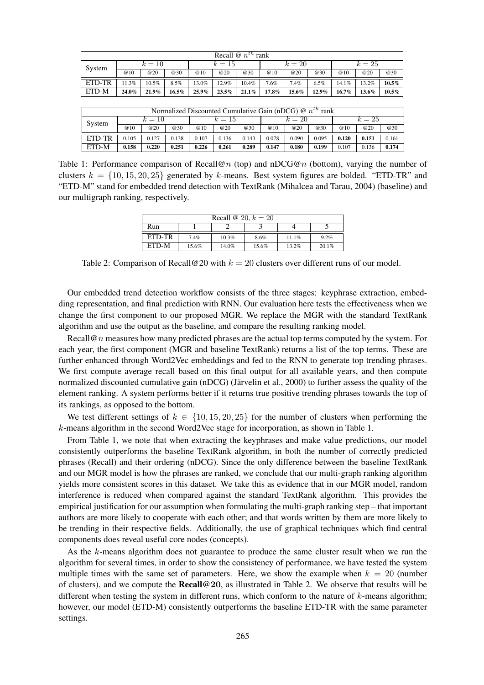| Recall $\mathcal{Q}$ $n^{th}$ rank |        |          |          |          |          |          |          |       |       |          |       |          |
|------------------------------------|--------|----------|----------|----------|----------|----------|----------|-------|-------|----------|-------|----------|
| System                             | $k=10$ |          |          | $k=15$   |          |          | $k=20$   |       |       | $k=25$   |       |          |
|                                    | @10    | @20      | @30      | @10      | @20      | @30      | @10      | @20   | @30   | @10      | @20   | @30      |
| ETD-TR                             | 11.3%  | $10.5\%$ | 8.5%     | 13.0%    | 12.9%    | $10.4\%$ | 7.6%     | 7.4%  | 6.5%  | 14.1%    | 13.2% | $10.5\%$ |
| ETD-M                              | 24.0%  | $21.9\%$ | $16.5\%$ | $25.9\%$ | $23.5\%$ | $21.1\%$ | $17.8\%$ | 15.6% | 12.9% | $16.7\%$ | 13.6% | $10.5\%$ |

| Normalized Discounted Cumulative Gain (nDCG) $\mathcal{Q}$ $n^{th}$ rank |          |       |       |        |       |       |        |       |       |        |       |       |
|--------------------------------------------------------------------------|----------|-------|-------|--------|-------|-------|--------|-------|-------|--------|-------|-------|
| System                                                                   | $k = 10$ |       |       | $k=15$ |       |       | $k=20$ |       |       | $k=25$ |       |       |
|                                                                          | @10      | @20   | @30   | @10    | @20   | @30   | @10    | @20   | @30   | @10    | @20   | @30   |
| ETD-TR                                                                   | 0.105    | 0.127 | 0.138 | 0.107  | 0.136 | 0.143 | 0.078  | 0.090 | 0.095 | 0.120  | 0.151 | 0.161 |
| ETD-M                                                                    | 0.158    | 0.220 | 0.251 | 0.226  | 0.261 | 0.289 | 0.147  | 0.180 | 0.199 | 0.107  | 0.136 | 0.174 |

Table 1: Performance comparison of Recall@*n* (top) and nDCG@*n* (bottom), varying the number of clusters  $k = \{10, 15, 20, 25\}$  generated by *k*-means. Best system figures are bolded. "ETD-TR" and "ETD-M" stand for embedded trend detection with TextRank (Mihalcea and Tarau, 2004) (baseline) and our multigraph ranking, respectively.

| Recall @ 20, $k = 20$ |       |          |       |       |       |  |
|-----------------------|-------|----------|-------|-------|-------|--|
| Run                   |       |          |       |       |       |  |
| ETD-TR                | 7.4%  | $10.3\%$ | 8.6%  | 11.1% | 9.2%  |  |
| ETD-M                 | 15.6% | 14.0%    | 15.6% | 13.2% | 20.1% |  |

Table 2: Comparison of Recall@20 with *k* = 20 clusters over different runs of our model.

Our embedded trend detection workflow consists of the three stages: keyphrase extraction, embedding representation, and final prediction with RNN. Our evaluation here tests the effectiveness when we change the first component to our proposed MGR. We replace the MGR with the standard TextRank algorithm and use the output as the baseline, and compare the resulting ranking model.

Recall@*n* measures how many predicted phrases are the actual top terms computed by the system. For each year, the first component (MGR and baseline TextRank) returns a list of the top terms. These are further enhanced through Word2Vec embeddings and fed to the RNN to generate top trending phrases. We first compute average recall based on this final output for all available years, and then compute normalized discounted cumulative gain (nDCG) (Järvelin et al., 2000) to further assess the quality of the element ranking. A system performs better if it returns true positive trending phrases towards the top of its rankings, as opposed to the bottom.

We test different settings of  $k \in \{10, 15, 20, 25\}$  for the number of clusters when performing the *k*-means algorithm in the second Word2Vec stage for incorporation, as shown in Table 1.

From Table 1, we note that when extracting the keyphrases and make value predictions, our model consistently outperforms the baseline TextRank algorithm, in both the number of correctly predicted phrases (Recall) and their ordering (nDCG). Since the only difference between the baseline TextRank and our MGR model is how the phrases are ranked, we conclude that our multi-graph ranking algorithm yields more consistent scores in this dataset. We take this as evidence that in our MGR model, random interference is reduced when compared against the standard TextRank algorithm. This provides the empirical justification for our assumption when formulating the multi-graph ranking step – that important authors are more likely to cooperate with each other; and that words written by them are more likely to be trending in their respective fields. Additionally, the use of graphical techniques which find central components does reveal useful core nodes (concepts).

As the *k*-means algorithm does not guarantee to produce the same cluster result when we run the algorithm for several times, in order to show the consistency of performance, we have tested the system multiple times with the same set of parameters. Here, we show the example when  $k = 20$  (number of clusters), and we compute the Recall@**20**, as illustrated in Table 2. We observe that results will be different when testing the system in different runs, which conform to the nature of *k*-means algorithm; however, our model (ETD-M) consistently outperforms the baseline ETD-TR with the same parameter settings.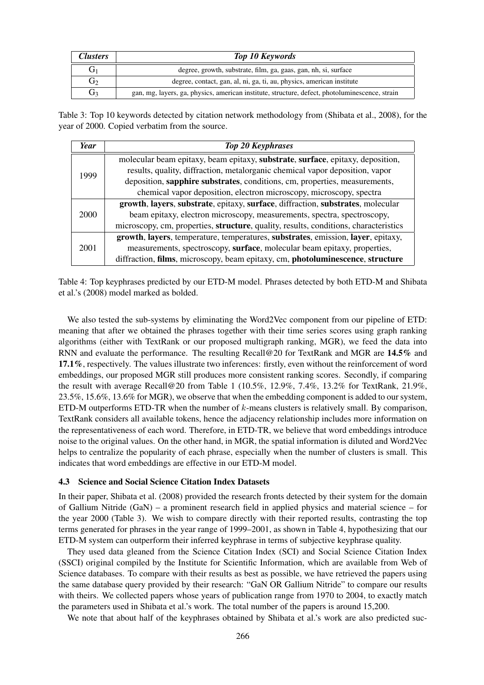| <b>Clusters</b> | <b>Top 10 Keywords</b>                                                                         |
|-----------------|------------------------------------------------------------------------------------------------|
| G1              | degree, growth, substrate, film, ga, gaas, gan, nh, si, surface                                |
| G <sub>2</sub>  | degree, contact, gan, al, ni, ga, ti, au, physics, american institute                          |
| G <sub>3</sub>  | gan, mg, layers, ga, physics, american institute, structure, defect, photoluminescence, strain |

Table 3: Top 10 keywords detected by citation network methodology from (Shibata et al., 2008), for the year of 2000. Copied verbatim from the source.

| Year        | <b>Top 20 Keyphrases</b>                                                                     |
|-------------|----------------------------------------------------------------------------------------------|
| 1999        | molecular beam epitaxy, beam epitaxy, substrate, surface, epitaxy, deposition,               |
|             | results, quality, diffraction, metalorganic chemical vapor deposition, vapor                 |
|             | deposition, sapphire substrates, conditions, cm, properties, measurements,                   |
|             | chemical vapor deposition, electron microscopy, microscopy, spectra                          |
| <b>2000</b> | growth, layers, substrate, epitaxy, surface, diffraction, substrates, molecular              |
|             | beam epitaxy, electron microscopy, measurements, spectra, spectroscopy,                      |
|             | microscopy, cm, properties, <b>structure</b> , quality, results, conditions, characteristics |
| 2001        | growth, layers, temperature, temperatures, substrates, emission, layer, epitaxy,             |
|             | measurements, spectroscopy, surface, molecular beam epitaxy, properties,                     |
|             | diffraction, films, microscopy, beam epitaxy, cm, photoluminescence, structure               |

Table 4: Top keyphrases predicted by our ETD-M model. Phrases detected by both ETD-M and Shibata et al.'s (2008) model marked as bolded.

We also tested the sub-systems by eliminating the Word2Vec component from our pipeline of ETD: meaning that after we obtained the phrases together with their time series scores using graph ranking algorithms (either with TextRank or our proposed multigraph ranking, MGR), we feed the data into RNN and evaluate the performance. The resulting Recall@20 for TextRank and MGR are 14.5% and 17.1%, respectively. The values illustrate two inferences: firstly, even without the reinforcement of word embeddings, our proposed MGR still produces more consistent ranking scores. Secondly, if comparing the result with average Recall@20 from Table 1 (10.5%, 12.9%, 7.4%, 13.2% for TextRank, 21.9%, 23.5%, 15.6%, 13.6% for MGR), we observe that when the embedding component is added to our system, ETD-M outperforms ETD-TR when the number of *k*-means clusters is relatively small. By comparison, TextRank considers all available tokens, hence the adjacency relationship includes more information on the representativeness of each word. Therefore, in ETD-TR, we believe that word embeddings introduce noise to the original values. On the other hand, in MGR, the spatial information is diluted and Word2Vec helps to centralize the popularity of each phrase, especially when the number of clusters is small. This indicates that word embeddings are effective in our ETD-M model.

#### 4.3 Science and Social Science Citation Index Datasets

In their paper, Shibata et al. (2008) provided the research fronts detected by their system for the domain of Gallium Nitride (GaN) – a prominent research field in applied physics and material science – for the year 2000 (Table 3). We wish to compare directly with their reported results, contrasting the top terms generated for phrases in the year range of 1999–2001, as shown in Table 4, hypothesizing that our ETD-M system can outperform their inferred keyphrase in terms of subjective keyphrase quality.

They used data gleaned from the Science Citation Index (SCI) and Social Science Citation Index (SSCI) original compiled by the Institute for Scientific Information, which are available from Web of Science databases. To compare with their results as best as possible, we have retrieved the papers using the same database query provided by their research: "GaN OR Gallium Nitride" to compare our results with theirs. We collected papers whose years of publication range from 1970 to 2004, to exactly match the parameters used in Shibata et al.'s work. The total number of the papers is around 15,200.

We note that about half of the keyphrases obtained by Shibata et al.'s work are also predicted suc-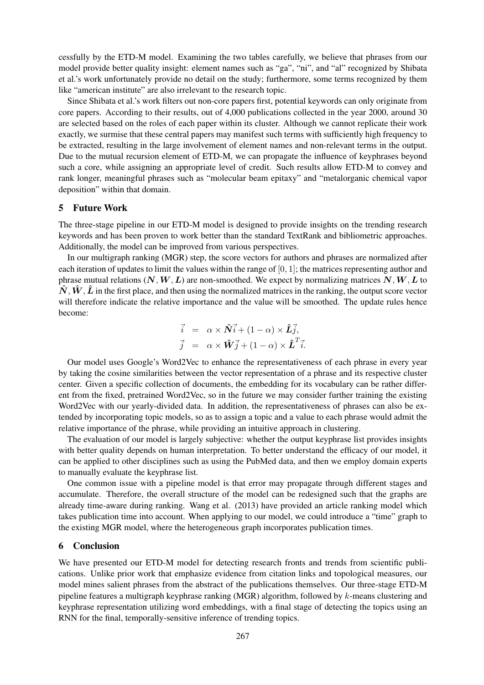cessfully by the ETD-M model. Examining the two tables carefully, we believe that phrases from our model provide better quality insight: element names such as "ga", "ni", and "al" recognized by Shibata et al.'s work unfortunately provide no detail on the study; furthermore, some terms recognized by them like "american institute" are also irrelevant to the research topic.

Since Shibata et al.'s work filters out non-core papers first, potential keywords can only originate from core papers. According to their results, out of 4,000 publications collected in the year 2000, around 30 are selected based on the roles of each paper within its cluster. Although we cannot replicate their work exactly, we surmise that these central papers may manifest such terms with sufficiently high frequency to be extracted, resulting in the large involvement of element names and non-relevant terms in the output. Due to the mutual recursion element of ETD-M, we can propagate the influence of keyphrases beyond such a core, while assigning an appropriate level of credit. Such results allow ETD-M to convey and rank longer, meaningful phrases such as "molecular beam epitaxy" and "metalorganic chemical vapor deposition" within that domain.

## 5 Future Work

The three-stage pipeline in our ETD-M model is designed to provide insights on the trending research keywords and has been proven to work better than the standard TextRank and bibliometric approaches. Additionally, the model can be improved from various perspectives.

In our multigraph ranking (MGR) step, the score vectors for authors and phrases are normalized after each iteration of updates to limit the values within the range of [0*,* 1]; the matrices representing author and phrase mutual relations  $(N, W, L)$  are non-smoothed. We expect by normalizing matrices  $N, W, L$  to  $\hat{N}$ ,  $\hat{W}$ ,  $\hat{L}$  in the first place, and then using the normalized matrices in the ranking, the output score vector will therefore indicate the relative importance and the value will be smoothed. The update rules hence become:

$$
\vec{i} = \alpha \times \hat{N} \vec{i} + (1 - \alpha) \times \hat{L} \vec{j},
$$
  

$$
\vec{j} = \alpha \times \hat{W} \vec{j} + (1 - \alpha) \times \hat{L}^T \vec{i}.
$$

Our model uses Google's Word2Vec to enhance the representativeness of each phrase in every year by taking the cosine similarities between the vector representation of a phrase and its respective cluster center. Given a specific collection of documents, the embedding for its vocabulary can be rather different from the fixed, pretrained Word2Vec, so in the future we may consider further training the existing Word2Vec with our yearly-divided data. In addition, the representativeness of phrases can also be extended by incorporating topic models, so as to assign a topic and a value to each phrase would admit the relative importance of the phrase, while providing an intuitive approach in clustering.

The evaluation of our model is largely subjective: whether the output keyphrase list provides insights with better quality depends on human interpretation. To better understand the efficacy of our model, it can be applied to other disciplines such as using the PubMed data, and then we employ domain experts to manually evaluate the keyphrase list.

One common issue with a pipeline model is that error may propagate through different stages and accumulate. Therefore, the overall structure of the model can be redesigned such that the graphs are already time-aware during ranking. Wang et al. (2013) have provided an article ranking model which takes publication time into account. When applying to our model, we could introduce a "time" graph to the existing MGR model, where the heterogeneous graph incorporates publication times.

# 6 Conclusion

We have presented our ETD-M model for detecting research fronts and trends from scientific publications. Unlike prior work that emphasize evidence from citation links and topological measures, our model mines salient phrases from the abstract of the publications themselves. Our three-stage ETD-M pipeline features a multigraph keyphrase ranking (MGR) algorithm, followed by *k*-means clustering and keyphrase representation utilizing word embeddings, with a final stage of detecting the topics using an RNN for the final, temporally-sensitive inference of trending topics.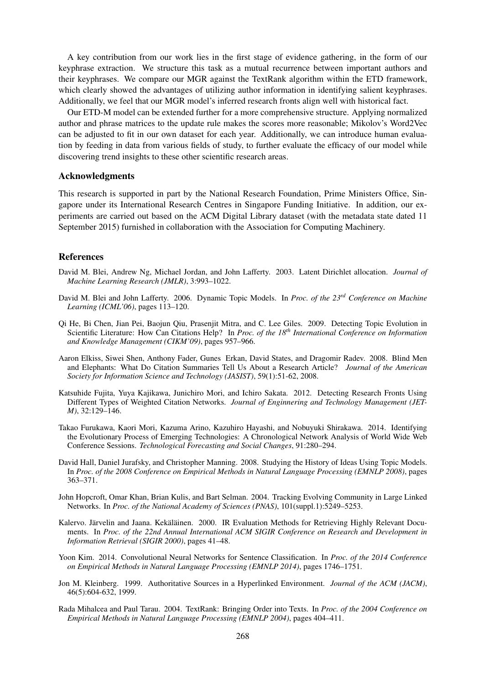A key contribution from our work lies in the first stage of evidence gathering, in the form of our keyphrase extraction. We structure this task as a mutual recurrence between important authors and their keyphrases. We compare our MGR against the TextRank algorithm within the ETD framework, which clearly showed the advantages of utilizing author information in identifying salient keyphrases. Additionally, we feel that our MGR model's inferred research fronts align well with historical fact.

Our ETD-M model can be extended further for a more comprehensive structure. Applying normalized author and phrase matrices to the update rule makes the scores more reasonable; Mikolov's Word2Vec can be adjusted to fit in our own dataset for each year. Additionally, we can introduce human evaluation by feeding in data from various fields of study, to further evaluate the efficacy of our model while discovering trend insights to these other scientific research areas.

# Acknowledgments

This research is supported in part by the National Research Foundation, Prime Ministers Office, Singapore under its International Research Centres in Singapore Funding Initiative. In addition, our experiments are carried out based on the ACM Digital Library dataset (with the metadata state dated 11 September 2015) furnished in collaboration with the Association for Computing Machinery.

# References

- David M. Blei, Andrew Ng, Michael Jordan, and John Lafferty. 2003. Latent Dirichlet allocation. *Journal of Machine Learning Research (JMLR)*, 3:993–1022.
- David M. Blei and John Lafferty. 2006. Dynamic Topic Models. In *Proc. of the 23rd Conference on Machine Learning (ICML'06)*, pages 113–120.
- Qi He, Bi Chen, Jian Pei, Baojun Qiu, Prasenjit Mitra, and C. Lee Giles. 2009. Detecting Topic Evolution in Scientific Literature: How Can Citations Help? In *Proc. of the 18th International Conference on Information and Knowledge Management (CIKM'09)*, pages 957–966.
- Aaron Elkiss, Siwei Shen, Anthony Fader, Gunes Erkan, David States, and Dragomir Radev. 2008. Blind Men and Elephants: What Do Citation Summaries Tell Us About a Research Article? *Journal of the American Society for Information Science and Technology (JASIST)*, 59(1):51-62, 2008.
- Katsuhide Fujita, Yuya Kajikawa, Junichiro Mori, and Ichiro Sakata. 2012. Detecting Research Fronts Using Different Types of Weighted Citation Networks. *Journal of Enginnering and Technology Management (JET-M)*, 32:129–146.
- Takao Furukawa, Kaori Mori, Kazuma Arino, Kazuhiro Hayashi, and Nobuyuki Shirakawa. 2014. Identifying the Evolutionary Process of Emerging Technologies: A Chronological Network Analysis of World Wide Web Conference Sessions. *Technological Forecasting and Social Changes*, 91:280–294.
- David Hall, Daniel Jurafsky, and Christopher Manning. 2008. Studying the History of Ideas Using Topic Models. In *Proc. of the 2008 Conference on Empirical Methods in Natural Language Processing (EMNLP 2008)*, pages 363–371.
- John Hopcroft, Omar Khan, Brian Kulis, and Bart Selman. 2004. Tracking Evolving Community in Large Linked Networks. In *Proc. of the National Academy of Sciences (PNAS)*, 101(suppl.1):5249–5253.
- Kalervo. Järvelin and Jaana. Kekäläinen. 2000. IR Evaluation Methods for Retrieving Highly Relevant Documents. In *Proc. of the 22nd Annual International ACM SIGIR Conference on Research and Development in Information Retrieval (SIGIR 2000)*, pages 41–48.
- Yoon Kim. 2014. Convolutional Neural Networks for Sentence Classification. In *Proc. of the 2014 Conference on Empirical Methods in Natural Language Processing (EMNLP 2014)*, pages 1746–1751.
- Jon M. Kleinberg. 1999. Authoritative Sources in a Hyperlinked Environment. *Journal of the ACM (JACM)*, 46(5):604-632, 1999.
- Rada Mihalcea and Paul Tarau. 2004. TextRank: Bringing Order into Texts. In *Proc. of the 2004 Conference on Empirical Methods in Natural Language Processing (EMNLP 2004)*, pages 404–411.